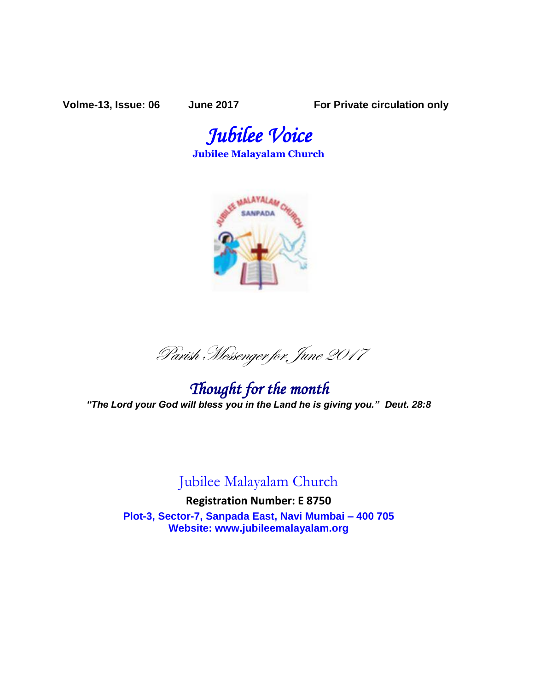**Volme-13, Issue: 06 June 2017 For Private circulation only**

*Jubilee Voice*  **Jubilee Malayalam Church** 



Parish Messenger for June <sup>2017</sup>

*Thought for the month "The Lord your God will bless you in the Land he is giving you." Deut. 28:8*

# Jubilee Malayalam Church

**Registration Number: E 8750 Plot-3, Sector-7, Sanpada East, Navi Mumbai – 400 705 Website: www.jubileemalayalam.org**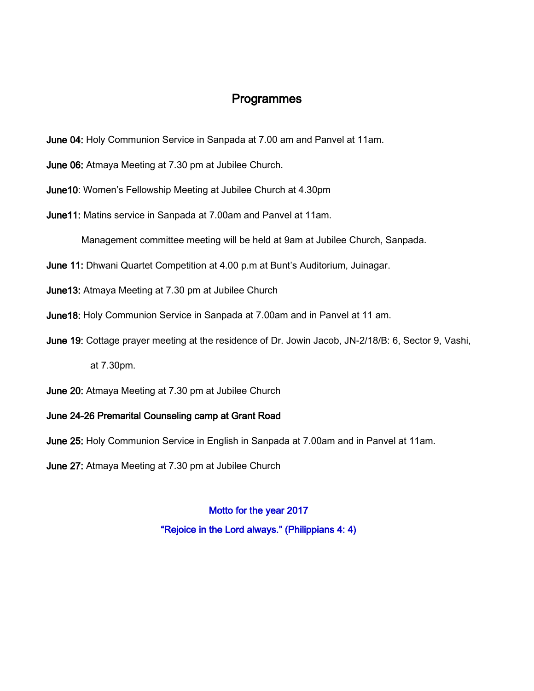# Programmes

- June 04: Holy Communion Service in Sanpada at 7.00 am and Panvel at 11am.
- June 06: Atmaya Meeting at 7.30 pm at Jubilee Church.
- June10: Women's Fellowship Meeting at Jubilee Church at 4.30pm
- June11: Matins service in Sanpada at 7.00am and Panvel at 11am.
	- Management committee meeting will be held at 9am at Jubilee Church, Sanpada.
- June 11: Dhwani Quartet Competition at 4.00 p.m at Bunt's Auditorium, Juinagar.
- June13: Atmaya Meeting at 7.30 pm at Jubilee Church
- June18: Holy Communion Service in Sanpada at 7.00am and in Panvel at 11 am.
- June 19: Cottage prayer meeting at the residence of Dr. Jowin Jacob, JN-2/18/B: 6, Sector 9, Vashi,

at 7.30pm.

June 20: Atmaya Meeting at 7.30 pm at Jubilee Church

## June 24-26 Premarital Counseling camp at Grant Road

- June 25: Holy Communion Service in English in Sanpada at 7.00am and in Panvel at 11am.
- June 27: Atmaya Meeting at 7.30 pm at Jubilee Church

## Motto for the year 2017

"Rejoice in the Lord always." (Philippians 4: 4)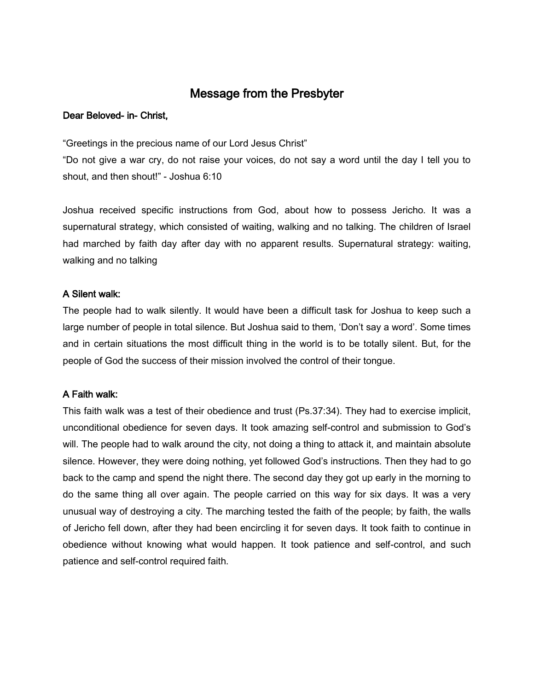# Message from the Presbyter

### Dear Beloved- in- Christ,

"Greetings in the precious name of our Lord Jesus Christ"

"Do not give a war cry, do not raise your voices, do not say a word until the day I tell you to shout, and then shout!" - Joshua 6:10

Joshua received specific instructions from God, about how to possess Jericho. It was a supernatural strategy, which consisted of waiting, walking and no talking. The children of Israel had marched by faith day after day with no apparent results. Supernatural strategy: waiting, walking and no talking

## A Silent walk:

The people had to walk silently. It would have been a difficult task for Joshua to keep such a large number of people in total silence. But Joshua said to them, 'Don't say a word'. Some times and in certain situations the most difficult thing in the world is to be totally silent. But, for the people of God the success of their mission involved the control of their tongue.

## A Faith walk:

This faith walk was a test of their obedience and trust (Ps.37:34). They had to exercise implicit, unconditional obedience for seven days. It took amazing self-control and submission to God's will. The people had to walk around the city, not doing a thing to attack it, and maintain absolute silence. However, they were doing nothing, yet followed God's instructions. Then they had to go back to the camp and spend the night there. The second day they got up early in the morning to do the same thing all over again. The people carried on this way for six days. It was a very unusual way of destroying a city. The marching tested the faith of the people; by faith, the walls of Jericho fell down, after they had been encircling it for seven days. It took faith to continue in obedience without knowing what would happen. It took patience and self-control, and such patience and self-control required faith.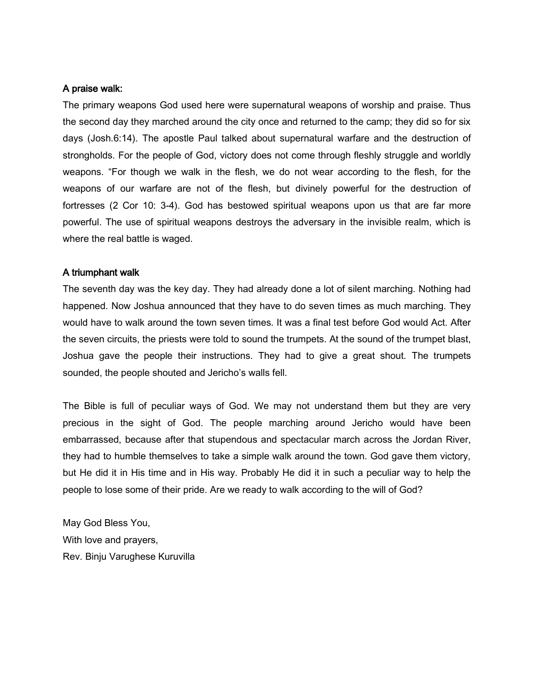### A praise walk:

The primary weapons God used here were supernatural weapons of worship and praise. Thus the second day they marched around the city once and returned to the camp; they did so for six days (Josh.6:14). The apostle Paul talked about supernatural warfare and the destruction of strongholds. For the people of God, victory does not come through fleshly struggle and worldly weapons. "For though we walk in the flesh, we do not wear according to the flesh, for the weapons of our warfare are not of the flesh, but divinely powerful for the destruction of fortresses (2 Cor 10: 3-4). God has bestowed spiritual weapons upon us that are far more powerful. The use of spiritual weapons destroys the adversary in the invisible realm, which is where the real battle is waged.

#### A triumphant walk

The seventh day was the key day. They had already done a lot of silent marching. Nothing had happened. Now Joshua announced that they have to do seven times as much marching. They would have to walk around the town seven times. It was a final test before God would Act. After the seven circuits, the priests were told to sound the trumpets. At the sound of the trumpet blast, Joshua gave the people their instructions. They had to give a great shout. The trumpets sounded, the people shouted and Jericho's walls fell.

The Bible is full of peculiar ways of God. We may not understand them but they are very precious in the sight of God. The people marching around Jericho would have been embarrassed, because after that stupendous and spectacular march across the Jordan River, they had to humble themselves to take a simple walk around the town. God gave them victory, but He did it in His time and in His way. Probably He did it in such a peculiar way to help the people to lose some of their pride. Are we ready to walk according to the will of God?

May God Bless You, With love and prayers, Rev. Binju Varughese Kuruvilla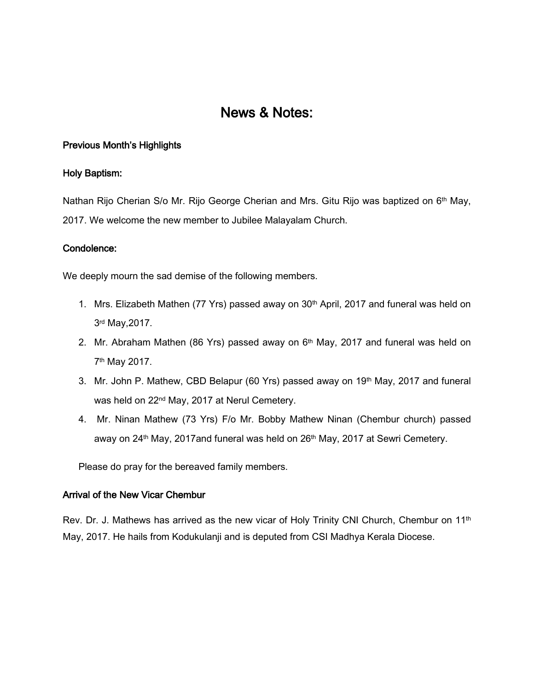# News & Notes:

## Previous Month's Highlights

#### Holy Baptism:

Nathan Rijo Cherian S/o Mr. Rijo George Cherian and Mrs. Gitu Rijo was baptized on 6<sup>th</sup> May, 2017. We welcome the new member to Jubilee Malayalam Church.

#### Condolence:

We deeply mourn the sad demise of the following members.

- 1. Mrs. Elizabeth Mathen (77 Yrs) passed away on 30<sup>th</sup> April, 2017 and funeral was held on 3rd May,2017.
- 2. Mr. Abraham Mathen (86 Yrs) passed away on  $6<sup>th</sup>$  May, 2017 and funeral was held on 7th May 2017.
- 3. Mr. John P. Mathew, CBD Belapur (60 Yrs) passed away on 19<sup>th</sup> May, 2017 and funeral was held on 22<sup>nd</sup> May, 2017 at Nerul Cemetery.
- 4. Mr. Ninan Mathew (73 Yrs) F/o Mr. Bobby Mathew Ninan (Chembur church) passed away on 24<sup>th</sup> May, 2017and funeral was held on 26<sup>th</sup> May, 2017 at Sewri Cemetery.

Please do pray for the bereaved family members.

## Arrival of the New Vicar Chembur

Rev. Dr. J. Mathews has arrived as the new vicar of Holy Trinity CNI Church, Chembur on 11<sup>th</sup> May, 2017. He hails from Kodukulanji and is deputed from CSI Madhya Kerala Diocese.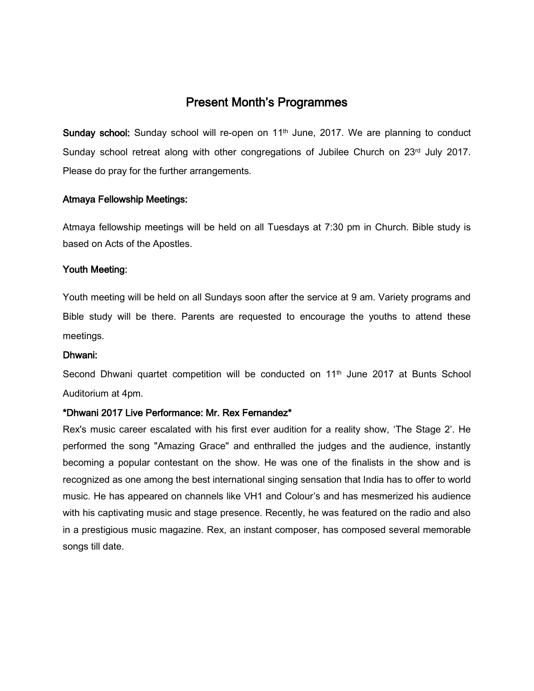# Present Month's Programmes

Sunday school: Sunday school will re-open on 11<sup>th</sup> June, 2017. We are planning to conduct Sunday school retreat along with other congregations of Jubilee Church on 23rd July 2017. Please do pray for the further arrangements.

## Atmaya Fellowship Meetings:

Atmaya fellowship meetings will be held on all Tuesdays at 7:30 pm in Church. Bible study is based on Acts of the Apostles.

## Youth Meeting:

Youth meeting will be held on all Sundays soon after the service at 9 am. Variety programs and Bible study will be there. Parents are requested to encourage the youths to attend these meetings.

## Dhwani:

Second Dhwani quartet competition will be conducted on 11<sup>th</sup> June 2017 at Bunts School Auditorium at 4pm.

## \*Dhwani 2017 Live Performance: Mr. Rex Fernandez\*

Rex's music career escalated with his first ever audition for a reality show, 'The Stage 2'. He performed the song "Amazing Grace" and enthralled the judges and the audience, instantly becoming a popular contestant on the show. He was one of the finalists in the show and is recognized as one among the best international singing sensation that India has to offer to world music. He has appeared on channels like VH1 and Colour's and has mesmerized his audience with his captivating music and stage presence. Recently, he was featured on the radio and also in a prestigious music magazine. Rex, an instant composer, has composed several memorable songs till date.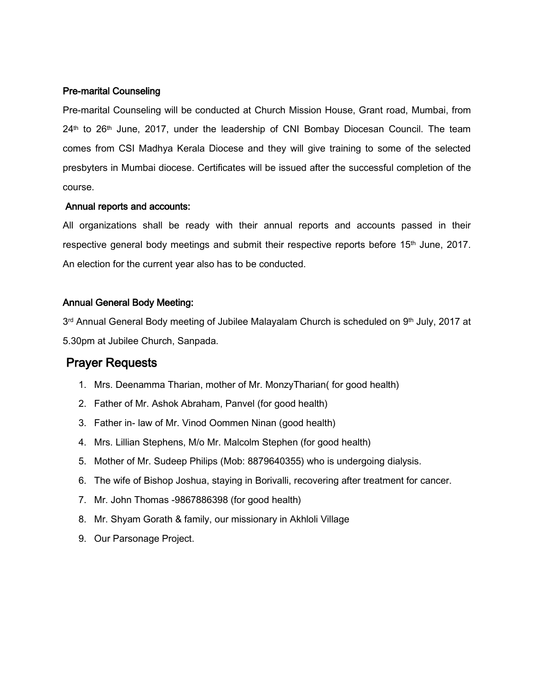#### Pre-marital Counseling

Pre-marital Counseling will be conducted at Church Mission House, Grant road, Mumbai, from 24<sup>th</sup> to 26<sup>th</sup> June, 2017, under the leadership of CNI Bombay Diocesan Council. The team comes from CSI Madhya Kerala Diocese and they will give training to some of the selected presbyters in Mumbai diocese. Certificates will be issued after the successful completion of the course.

#### Annual reports and accounts:

All organizations shall be ready with their annual reports and accounts passed in their respective general body meetings and submit their respective reports before 15<sup>th</sup> June, 2017. An election for the current year also has to be conducted.

## Annual General Body Meeting:

3<sup>rd</sup> Annual General Body meeting of Jubilee Malayalam Church is scheduled on 9<sup>th</sup> July, 2017 at 5.30pm at Jubilee Church, Sanpada.

# Prayer Requests

- 1. Mrs. Deenamma Tharian, mother of Mr. MonzyTharian( for good health)
- 2. Father of Mr. Ashok Abraham, Panvel (for good health)
- 3. Father in- law of Mr. Vinod Oommen Ninan (good health)
- 4. Mrs. Lillian Stephens, M/o Mr. Malcolm Stephen (for good health)
- 5. Mother of Mr. Sudeep Philips (Mob: 8879640355) who is undergoing dialysis.
- 6. The wife of Bishop Joshua, staying in Borivalli, recovering after treatment for cancer.
- 7. Mr. John Thomas -9867886398 (for good health)
- 8. Mr. Shyam Gorath & family, our missionary in Akhloli Village
- 9. Our Parsonage Project.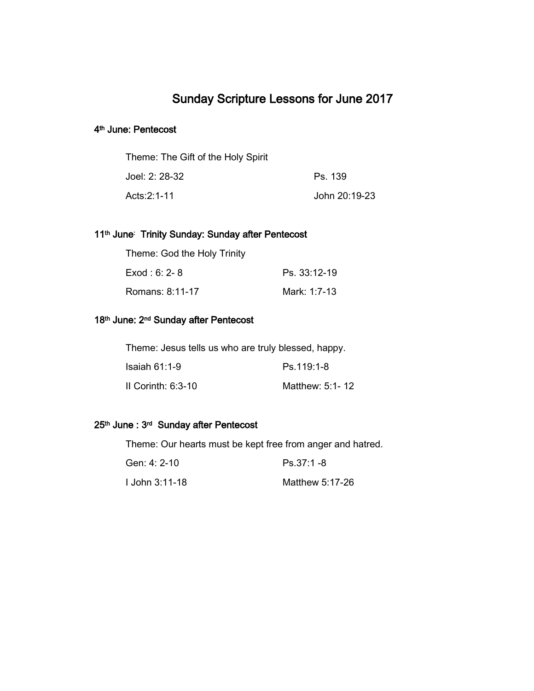# Sunday Scripture Lessons for June 2017

#### 4<sup>th</sup> June: Pentecost

| Theme: The Gift of the Holy Spirit |               |
|------------------------------------|---------------|
| Joel: 2: 28-32                     | Ps. 139       |
| Acts: 2:1-11                       | John 20:19-23 |

#### 11<sup>th</sup> June: Trinity Sunday: Sunday after Pentecost

| Theme: God the Holy Trinity |              |
|-----------------------------|--------------|
| $Exod: 6: 2-8$              | Ps. 33:12-19 |
| Romans: 8:11-17             | Mark: 1:7-13 |

#### 18<sup>th</sup> June: 2<sup>nd</sup> Sunday after Pentecost

Theme: Jesus tells us who are truly blessed, happy.

| Isaiah 61:1-9      | Ps.119:1-8      |
|--------------------|-----------------|
| II Corinth: 6:3-10 | Matthew: 5:1-12 |

#### 25<sup>th</sup> June : 3<sup>rd</sup> Sunday after Pentecost

Theme: Our hearts must be kept free from anger and hatred.

| Gen: 4: 2-10   | $Ps.37:1 - 8$   |
|----------------|-----------------|
| l John 3:11-18 | Matthew 5:17-26 |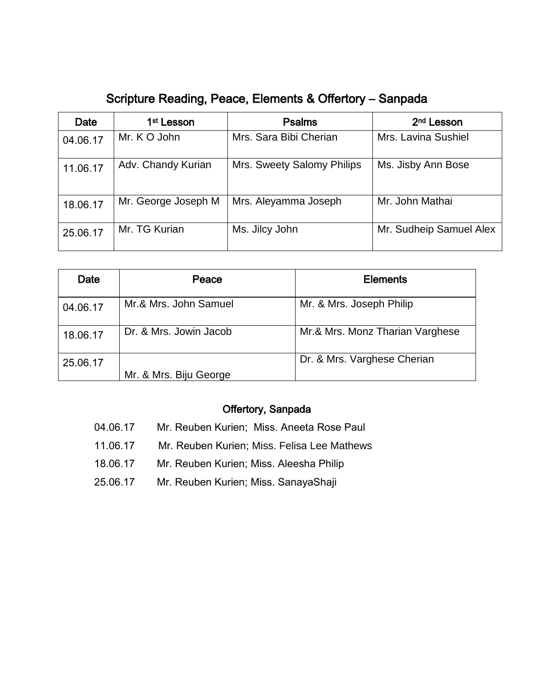# Scripture Reading, Peace, Elements & Offertory – Sanpada

| Date     | 1 <sup>st</sup> Lesson | <b>Psalms</b>              | 2 <sup>nd</sup> Lesson  |
|----------|------------------------|----------------------------|-------------------------|
| 04.06.17 | Mr. K O John           | Mrs. Sara Bibi Cherian     | Mrs. Lavina Sushiel     |
| 11.06.17 | Adv. Chandy Kurian     | Mrs. Sweety Salomy Philips | Ms. Jisby Ann Bose      |
| 18.06.17 | Mr. George Joseph M    | Mrs. Aleyamma Joseph       | Mr. John Mathai         |
| 25.06.17 | Mr. TG Kurian          | Ms. Jilcy John             | Mr. Sudheip Samuel Alex |

| Date     | Peace                  | <b>Elements</b>                 |
|----------|------------------------|---------------------------------|
| 04.06.17 | Mr.& Mrs. John Samuel  | Mr. & Mrs. Joseph Philip        |
| 18.06.17 | Dr. & Mrs. Jowin Jacob | Mr.& Mrs. Monz Tharian Varghese |
| 25.06.17 |                        | Dr. & Mrs. Varghese Cherian     |
|          | Mr. & Mrs. Biju George |                                 |

# Offertory, Sanpada

- 04.06.17 Mr. Reuben Kurien; Miss. Aneeta Rose Paul
- 11.06.17 Mr. Reuben Kurien; Miss. Felisa Lee Mathews
- 18.06.17 Mr. Reuben Kurien; Miss. Aleesha Philip
- 25.06.17 Mr. Reuben Kurien; Miss. SanayaShaji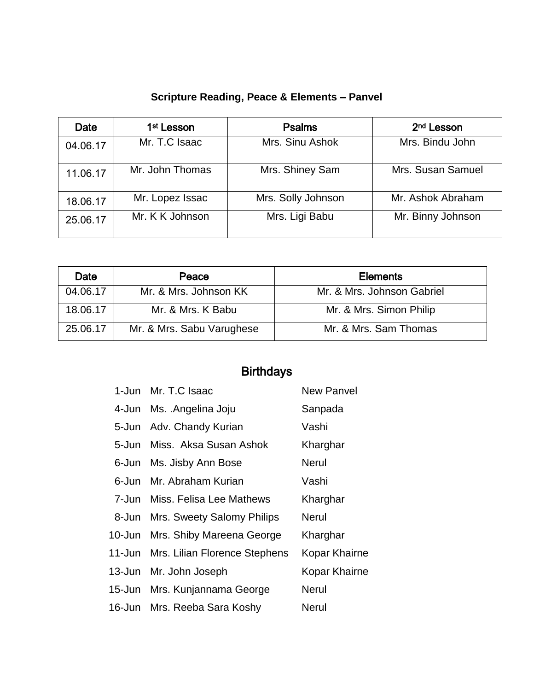| Date     | 1 <sup>st</sup> Lesson | <b>Psalms</b>      | 2 <sup>nd</sup> Lesson |
|----------|------------------------|--------------------|------------------------|
| 04.06.17 | Mr. T.C Isaac          | Mrs. Sinu Ashok    | Mrs. Bindu John        |
| 11.06.17 | Mr. John Thomas        | Mrs. Shiney Sam    | Mrs. Susan Samuel      |
| 18.06.17 | Mr. Lopez Issac        | Mrs. Solly Johnson | Mr. Ashok Abraham      |
| 25.06.17 | Mr. K K Johnson        | Mrs. Ligi Babu     | Mr. Binny Johnson      |

|  |  |  | <b>Scripture Reading, Peace &amp; Elements - Panvel</b> |  |
|--|--|--|---------------------------------------------------------|--|
|--|--|--|---------------------------------------------------------|--|

| Date     | Peace                     | <b>Elements</b>            |
|----------|---------------------------|----------------------------|
| 04.06.17 | Mr. & Mrs. Johnson KK     | Mr. & Mrs. Johnson Gabriel |
| 18.06.17 | Mr. & Mrs. K Babu         | Mr. & Mrs. Simon Philip    |
| 25.06.17 | Mr. & Mrs. Sabu Varughese | Mr. & Mrs. Sam Thomas      |

# Birthdays

|       | 1-Jun Mr. T.C Isaac                  | <b>New Panvel</b>    |
|-------|--------------------------------------|----------------------|
|       | 4-Jun Ms. Angelina Joju              | Sanpada              |
|       | 5-Jun Adv. Chandy Kurian             | Vashi                |
| 5-Jun | Miss. Aksa Susan Ashok               | Kharghar             |
|       | 6-Jun Ms. Jisby Ann Bose             | <b>Nerul</b>         |
|       | 6-Jun Mr. Abraham Kurian             | Vashi                |
|       | 7-Jun Miss. Felisa Lee Mathews       | Kharghar             |
|       | 8-Jun Mrs. Sweety Salomy Philips     | <b>Nerul</b>         |
|       | 10-Jun Mrs. Shiby Mareena George     | Kharghar             |
|       | 11-Jun Mrs. Lilian Florence Stephens | Kopar Khairne        |
|       | 13-Jun Mr. John Joseph               | <b>Kopar Khairne</b> |
|       | 15-Jun Mrs. Kunjannama George        | <b>Nerul</b>         |
|       | 16-Jun Mrs. Reeba Sara Koshy         | <b>Nerul</b>         |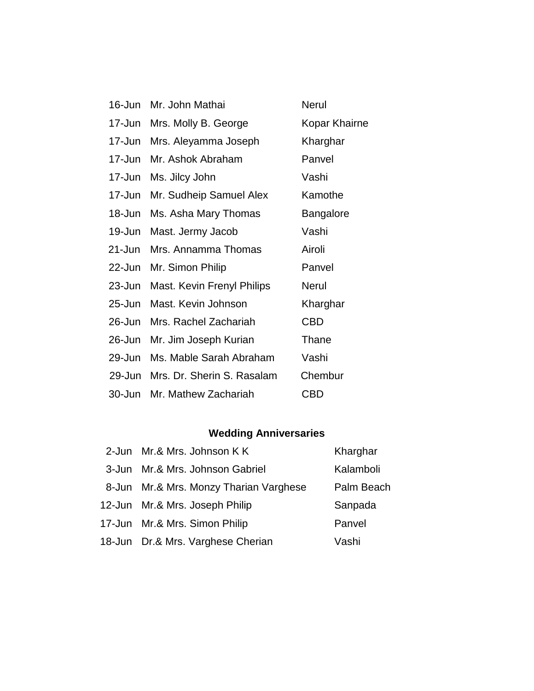| 16-Jun     | Mr. John Mathai            | <b>Nerul</b>     |
|------------|----------------------------|------------------|
| 17-Jun     | Mrs. Molly B. George       | Kopar Khairne    |
| 17-Jun     | Mrs. Aleyamma Joseph       | Kharghar         |
| 17-Jun     | Mr. Ashok Abraham          | Panvel           |
| 17-Jun     | Ms. Jilcy John             | Vashi            |
| 17-Jun     | Mr. Sudheip Samuel Alex    | Kamothe          |
| 18-Jun     | Ms. Asha Mary Thomas       | <b>Bangalore</b> |
| 19-Jun     | Mast. Jermy Jacob          | Vashi            |
| $21 - Jun$ | Mrs. Annamma Thomas        | Airoli           |
| $22$ -Jun  | Mr. Simon Philip           | Panvel           |
| $23 - Jun$ | Mast. Kevin Frenyl Philips | <b>Nerul</b>     |
| 25-Jun     | Mast. Kevin Johnson        | Kharghar         |
| 26-Jun     | Mrs. Rachel Zachariah      | <b>CBD</b>       |
| 26-Jun     | Mr. Jim Joseph Kurian      | Thane            |
| 29-Jun     | Ms. Mable Sarah Abraham    | Vashi            |
| 29-Jun     | Mrs. Dr. Sherin S. Rasalam | Chembur          |
| 30-Jun     | Mr. Mathew Zachariah       | CBD              |

# **Wedding Anniversaries**

| 2-Jun Mr.& Mrs. Johnson KK             | Kharghar   |
|----------------------------------------|------------|
| 3-Jun Mr.& Mrs. Johnson Gabriel        | Kalamboli  |
| 8-Jun Mr.& Mrs. Monzy Tharian Varghese | Palm Beach |
| 12-Jun Mr.& Mrs. Joseph Philip         | Sanpada    |
| 17-Jun Mr.& Mrs. Simon Philip          | Panvel     |
| 18-Jun Dr.& Mrs. Varghese Cherian      | Vashi      |